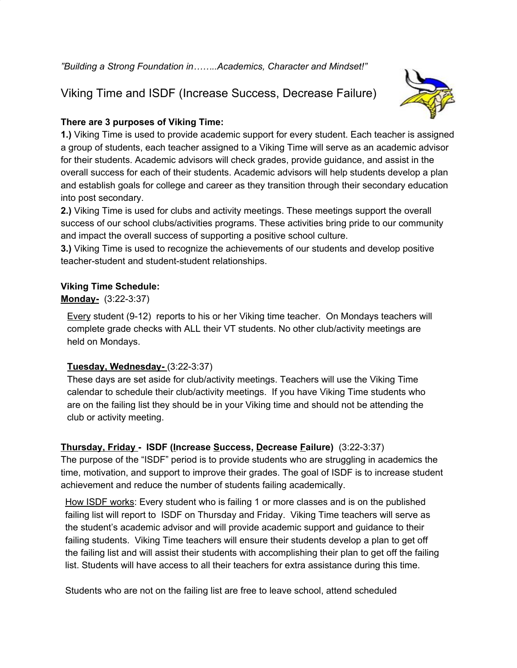*"Building a Strong Foundation in……..Academics, Character and Mindset!"*

Viking Time and ISDF (Increase Success, Decrease Failure)



## **There are 3 purposes of Viking Time:**

**1.)** Viking Time is used to provide academic support for every student. Each teacher is assigned a group of students, each teacher assigned to a Viking Time will serve as an academic advisor for their students. Academic advisors will check grades, provide guidance, and assist in the overall success for each of their students. Academic advisors will help students develop a plan and establish goals for college and career as they transition through their secondary education into post secondary.

**2.)** Viking Time is used for clubs and activity meetings. These meetings support the overall success of our school clubs/activities programs. These activities bring pride to our community and impact the overall success of supporting a positive school culture.

**3.)** Viking Time is used to recognize the achievements of our students and develop positive teacher-student and student-student relationships.

# **Viking Time Schedule:**

### **Monday-** (3:22-3:37)

Every student (9-12) reports to his or her Viking time teacher. On Mondays teachers will complete grade checks with ALL their VT students. No other club/activity meetings are held on Mondays.

### **Tuesday, Wednesday-** (3:22-3:37)

These days are set aside for club/activity meetings. Teachers will use the Viking Time calendar to schedule their club/activity meetings. If you have Viking Time students who are on the failing list they should be in your Viking time and should not be attending the club or activity meeting.

# **Thursday, Friday - ISDF (Increase Success, Decrease Failure)** (3:22-3:37)

The purpose of the "ISDF" period is to provide students who are struggling in academics the time, motivation, and support to improve their grades. The goal of ISDF is to increase student achievement and reduce the number of students failing academically.

How ISDF works: Every student who is failing 1 or more classes and is on the published failing list will report to ISDF on Thursday and Friday. Viking Time teachers will serve as the student's academic advisor and will provide academic support and guidance to their failing students. Viking Time teachers will ensure their students develop a plan to get off the failing list and will assist their students with accomplishing their plan to get off the failing list. Students will have access to all their teachers for extra assistance during this time.

Students who are not on the failing list are free to leave school, attend scheduled